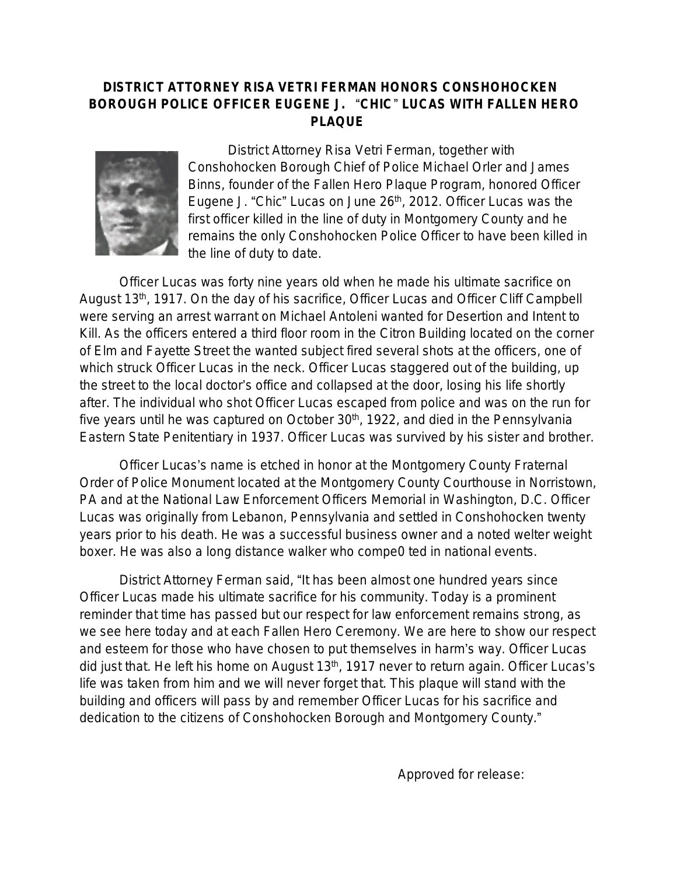## **DISTRICT ATTORNEY RISA VETRI FERMAN HONORS CONSHOHOCKEN BOROUGH POLICE OFFICER EUGENE J.** "**CHIC**" **LUCAS WITH FALLEN HERO PLAQUE**



District Attorney Risa Vetri Ferman, together with Conshohocken Borough Chief of Police Michael Orler and James Binns, founder of the Fallen Hero Plaque Program, honored Officer Eugene J. "Chic" Lucas on June 26<sup>th</sup>, 2012. Officer Lucas was the first officer killed in the line of duty in Montgomery County and he remains the only Conshohocken Police Officer to have been killed in the line of duty to date.

Officer Lucas was forty nine years old when he made his ultimate sacrifice on August 13<sup>th</sup>, 1917. On the day of his sacrifice, Officer Lucas and Officer Cliff Campbell were serving an arrest warrant on Michael Antoleni wanted for Desertion and Intent to Kill. As the officers entered a third floor room in the Citron Building located on the corner of Elm and Fayette Street the wanted subject fired several shots at the officers, one of which struck Officer Lucas in the neck. Officer Lucas staggered out of the building, up the street to the local doctor's office and collapsed at the door, losing his life shortly after. The individual who shot Officer Lucas escaped from police and was on the run for five years until he was captured on October  $30<sup>th</sup>$ , 1922, and died in the Pennsylvania Eastern State Penitentiary in 1937. Officer Lucas was survived by his sister and brother.

Officer Lucas's name is etched in honor at the Montgomery County Fraternal Order of Police Monument located at the Montgomery County Courthouse in Norristown, PA and at the National Law Enforcement Officers Memorial in Washington, D.C. Officer Lucas was originally from Lebanon, Pennsylvania and settled in Conshohocken twenty years prior to his death. He was a successful business owner and a noted welter weight boxer. He was also a long distance walker who compe0 ted in national events.

District Attorney Ferman said, "It has been almost one hundred years since Officer Lucas made his ultimate sacrifice for his community. Today is a prominent reminder that time has passed but our respect for law enforcement remains strong, as we see here today and at each Fallen Hero Ceremony. We are here to show our respect and esteem for those who have chosen to put themselves in harm's way. Officer Lucas did just that. He left his home on August 13<sup>th</sup>, 1917 never to return again. Officer Lucas's life was taken from him and we will never forget that. This plaque will stand with the building and officers will pass by and remember Officer Lucas for his sacrifice and dedication to the citizens of Conshohocken Borough and Montgomery County."

Approved for release: